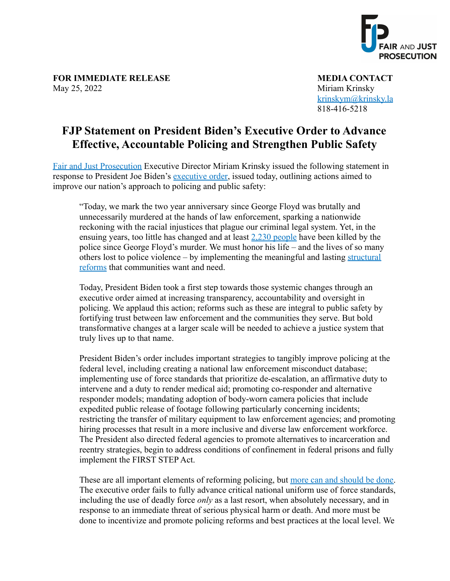

**FOR IMMEDIATE RELEASE MEDIA CONTACT** May 25, 2022 Miriam Krinsky

[krinskym@krinsky.la](mailto:krinskym@krinsky.la) 818-416-5218

## **FJP Statement on President Biden's Executive Order to Advance Effective, Accountable Policing and Strengthen Public Safety**

[Fair and Just Prosecution](https://fairandjustprosecution.org/) Executive Director Miriam Krinsky issued the following statement in response to President Joe Biden's [executive order,](https://www.whitehouse.gov/briefing-room/statements-releases/2022/05/25/fact-sheet-president-biden-to-sign-historic-executive-order-to-advance-effective-accountable-policing-and-strengthen-public-safety/) issued today, outlining actions aimed to improve our nation's approach to policing and public safety:

"Today, we mark the two year anniversary since George Floyd was brutally and unnecessarily murdered at the hands of law enforcement, sparking a nationwide reckoning with the racial injustices that plague our criminal legal system. Yet, in the ensuing years, too little has changed and at least  $2,230$  people have been killed by the police since George Floyd's murder. We must honor his life – and the lives of so many others lost to police violence – by implementing the meaningful and lasting [structural](https://www.fairandjustprosecution.org/staging/wp-content/uploads/2020/06/Policing-Roadmap-FINAL.pdf) [reforms](https://www.fairandjustprosecution.org/staging/wp-content/uploads/2020/06/Policing-Roadmap-FINAL.pdf) that communities want and need.

Today, President Biden took a first step towards those systemic changes through an executive order aimed at increasing transparency, accountability and oversight in policing. We applaud this action; reforms such as these are integral to public safety by fortifying trust between law enforcement and the communities they serve. But bold transformative changes at a larger scale will be needed to achieve a justice system that truly lives up to that name.

President Biden's order includes important strategies to tangibly improve policing at the federal level, including creating a national law enforcement misconduct database; implementing use of force standards that prioritize de-escalation, an affirmative duty to intervene and a duty to render medical aid; promoting co-responder and alternative responder models; mandating adoption of body-worn camera policies that include expedited public release of footage following particularly concerning incidents; restricting the transfer of military equipment to law enforcement agencies; and promoting hiring processes that result in a more inclusive and diverse law enforcement workforce. The President also directed federal agencies to promote alternatives to incarceration and reentry strategies, begin to address conditions of confinement in federal prisons and fully implement the FIRST STEP Act.

These are all important elements of reforming policing, but [more can and should be done.](https://fairandjustprosecution.org/wp-content/uploads/2021/12/FJP-Executive-Actions-for-Policing-Reform.pdf) The executive order fails to fully advance critical national uniform use of force standards, including the use of deadly force *only* as a last resort, when absolutely necessary, and in response to an immediate threat of serious physical harm or death. And more must be done to incentivize and promote policing reforms and best practices at the local level. We